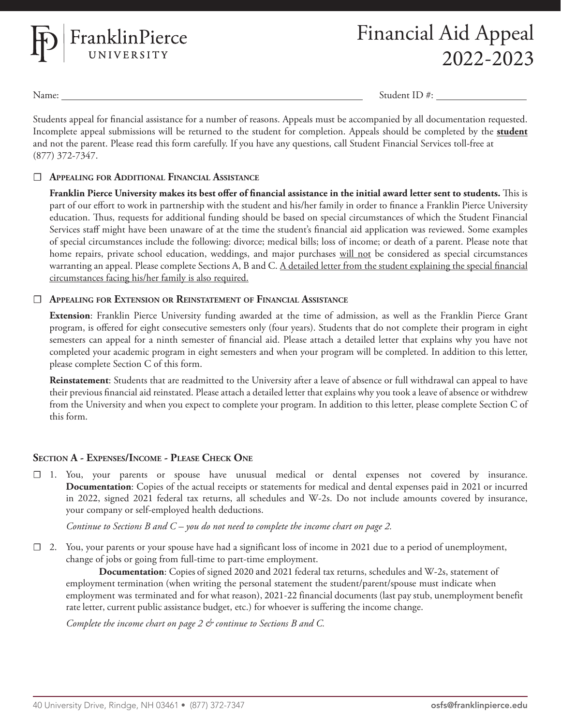

Name: Student ID #:

Students appeal for financial assistance for a number of reasons. Appeals must be accompanied by all documentation requested. Incomplete appeal submissions will be returned to the student for completion. Appeals should be completed by the **student** and not the parent. Please read this form carefully. If you have any questions, call Student Financial Services toll-free at (877) 372-7347.

### ☐ **Appealing for Additional Financial Assistance**

**Franklin Pierce University makes its best offer of financial assistance in the initial award letter sent to students.** This is part of our effort to work in partnership with the student and his/her family in order to finance a Franklin Pierce University education. Thus, requests for additional funding should be based on special circumstances of which the Student Financial Services staff might have been unaware of at the time the student's financial aid application was reviewed. Some examples of special circumstances include the following: divorce; medical bills; loss of income; or death of a parent. Please note that home repairs, private school education, weddings, and major purchases will not be considered as special circumstances warranting an appeal. Please complete Sections A, B and C. A detailed letter from the student explaining the special financial circumstances facing his/her family is also required.

### ☐ **Appealing for Extension or Reinstatement of Financial Assistance**

**Extension**: Franklin Pierce University funding awarded at the time of admission, as well as the Franklin Pierce Grant program, is offered for eight consecutive semesters only (four years). Students that do not complete their program in eight semesters can appeal for a ninth semester of financial aid. Please attach a detailed letter that explains why you have not completed your academic program in eight semesters and when your program will be completed. In addition to this letter, please complete Section C of this form.

**Reinstatement**: Students that are readmitted to the University after a leave of absence or full withdrawal can appeal to have their previous financial aid reinstated. Please attach a detailed letter that explains why you took a leave of absence or withdrew from the University and when you expect to complete your program. In addition to this letter, please complete Section C of this form.

## **Section A - Expenses/Income - Please Check One**

☐ 1. You, your parents or spouse have unusual medical or dental expenses not covered by insurance. **Documentation**: Copies of the actual receipts or statements for medical and dental expenses paid in 2021 or incurred in 2022, signed 2021 federal tax returns, all schedules and W-2s. Do not include amounts covered by insurance, your company or self-employed health deductions.

*Continue to Sections B and C – you do not need to complete the income chart on page 2.*

 $\Box$  2. You, your parents or your spouse have had a significant loss of income in 2021 due to a period of unemployment, change of jobs or going from full-time to part-time employment.

**Documentation**: Copies of signed 2020 and 2021 federal tax returns, schedules and W-2s, statement of employment termination (when writing the personal statement the student/parent/spouse must indicate when employment was terminated and for what reason), 2021-22 financial documents (last pay stub, unemployment benefit rate letter, current public assistance budget, etc.) for whoever is suffering the income change.

*Complete the income chart on page 2 & continue to Sections B and C.*